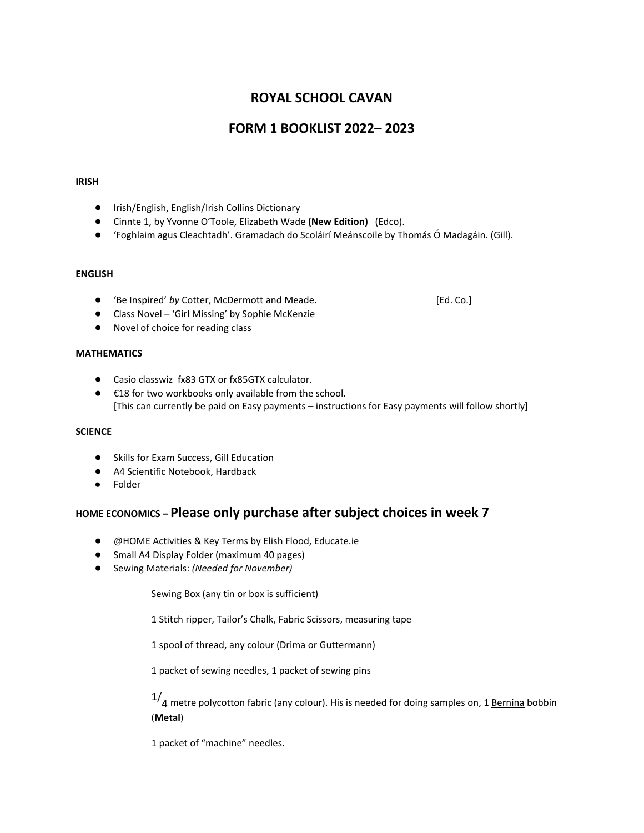# **ROYAL SCHOOL CAVAN**

# **FORM 1 BOOKLIST 2022– 2023**

#### **IRISH**

- Irish/English, English/Irish Collins Dictionary
- Cinnte 1, by Yvonne O'Toole, Elizabeth Wade **(New Edition)** (Edco).
- 'Foghlaim agus Cleachtadh'. Gramadach do Scoláirí Meánscoile by Thomás Ó Madagáin. (Gill).

#### **ENGLISH**

- 'Be Inspired' by Cotter, McDermott and Meade. **■** [Ed. Co.]
- Class Novel 'Girl Missing' by Sophie McKenzie
- Novel of choice for reading class

#### **MATHEMATICS**

- Casio classwiz fx83 GTX or fx85GTX calculator.
- €18 for two workbooks only available from the school. [This can currently be paid on Easy payments – instructions for Easy payments will follow shortly]

### **SCIENCE**

- Skills for Exam Success, Gill Education
- A4 Scientific Notebook, Hardback
- Folder

### **HOME ECONOMICS – Please only purchase after subject choices in week 7**

- @HOME Activities & Key Terms by Elish Flood, Educate.ie
- Small A4 Display Folder (maximum 40 pages)
- Sewing Materials: *(Needed for November)*

Sewing Box (any tin or box is sufficient)

1 Stitch ripper, Tailor's Chalk, Fabric Scissors, measuring tape

1 spool of thread, any colour (Drima or Guttermann)

1 packet of sewing needles, 1 packet of sewing pins

 $1/4$  metre polycotton fabric (any colour). His is needed for doing samples on, 1 Bernina bobbin (**Metal**)

1 packet of "machine" needles.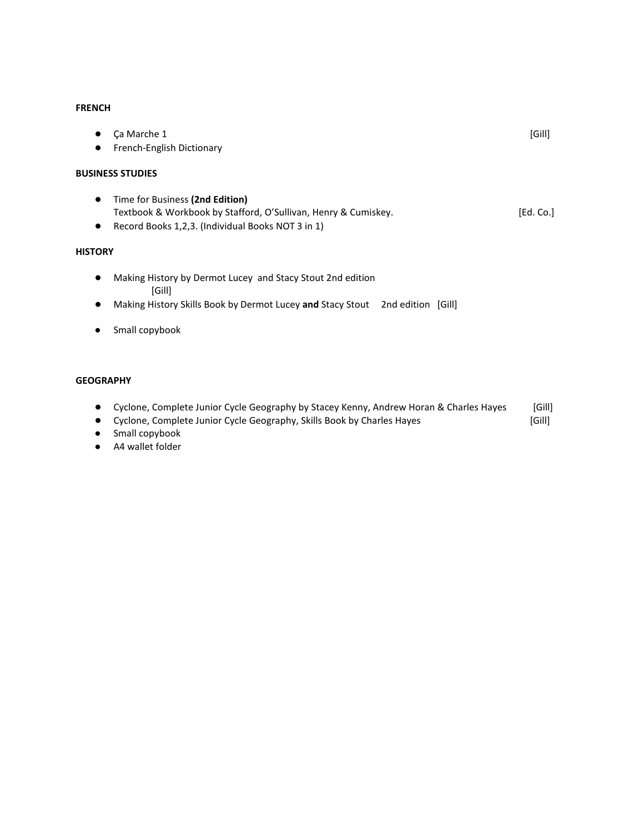### **FRENCH**

| Ca Marche 1<br>$\bullet$                                       | [Gill]    |
|----------------------------------------------------------------|-----------|
| French-English Dictionary<br>$\bullet$                         |           |
| <b>BUSINESS STUDIES</b>                                        |           |
| Time for Business (2nd Edition)<br>$\bullet$                   |           |
| Textbook & Workbook by Stafford, O'Sullivan, Henry & Cumiskey. | [Ed. Co.] |
| Record Books 1,2,3. (Individual Books NOT 3 in 1)<br>$\bullet$ |           |
| <b>HISTORY</b>                                                 |           |

- Making History by Dermot Lucey and Stacy Stout 2nd edition [Gill]
- Making History Skills Book by Dermot Lucey **and** Stacy Stout 2nd edition [Gill]
- Small copybook

### **GEOGRAPHY**

- Cyclone, Complete Junior Cycle Geography by Stacey Kenny, Andrew Horan & Charles Hayes [Gill]
- Cyclone, Complete Junior Cycle Geography, Skills Book by Charles Hayes [Gill]
- Small copybook
- A4 wallet folder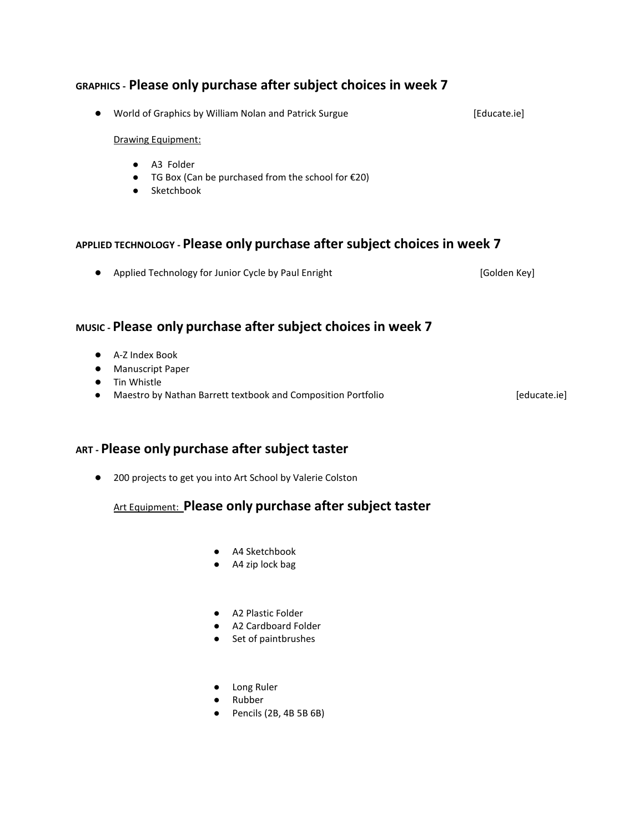# **GRAPHICS - Please only purchase after subject choices in week 7**

● World of Graphics by William Nolan and Patrick Surgue **business** [Educate.ie]

### Drawing Equipment:

- A3 Folder
- TG Box (Can be purchased from the school for €20)
- Sketchbook

### **APPLIED TECHNOLOGY - Please only purchase after subject choices in week 7**

● Applied Technology for Junior Cycle by Paul Enright **[Golden Key]** [Golden Key]

# **MUSIC - Please only purchase after subject choices in week 7**

- A-Z Index Book
- Manuscript Paper
- Tin Whistle
- Maestro by Nathan Barrett textbook and Composition Portfolio **by Connect and Composition** Portfolio **[educate.ie]**

## **ART - Please only purchase after subject taster**

● 200 projects to get you into Art School by Valerie Colston

## Art Equipment: **Please only purchase after subject taster**

- A4 Sketchbook
- A4 zip lock bag
- A2 Plastic Folder
- A2 Cardboard Folder
- Set of paintbrushes
- Long Ruler
- Rubber
- Pencils (2B, 4B 5B 6B)